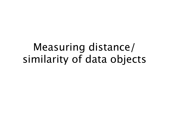## Measuring distance/ similarity of data objects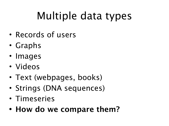# Multiple data types

- Records of users
- Graphs
- Images
- Videos
- Text (webpages, books)
- Strings (DNA sequences)
- Timeseries
- **• How do we compare them?**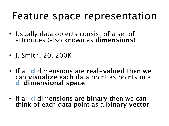## Feature space representation

- Usually data objects consist of a set of attributes (also known as **dimensions**)
- J. Smith, 20, 200K
- If all **d** dimensions are **real-valued** then we can **visualize** each data point as points in a **d-dimensional space**
- If all **d** dimensions are **binary** then we can think of each data point as a **binary vector**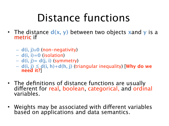# Distance functions

- The distance **d(x, y)** between two objects **x**and **y** is a metric if
	- **d(i, j)**≥**0** (non-negativity)
	- **d(i, i)=0** (isolation)
	- **d(i, j)= d(j, i)** (symmetry)
	- **d(i, j) ≤ d(i, h)+d(h, j)** (triangular inequality) [**Why do we need it?**]
- The definitions of distance functions are usually diferent for real, boolean, categorical, and ordinal variables.
- Weights may be associated with diferent variables based on applications and data semantics.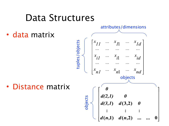#### Data Structures

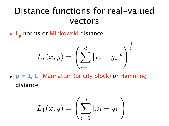#### Distance functions for real-valued vectors

• L<sub>p</sub> norms or Minkowski distance:

$$
L_p(x, y) = \left(\sum_{i=1}^{d} |x_i - y_i|^p\right)^{\frac{1}{p}}
$$

•  $p = 1$ ,  $L_1$  Manhattan (or city block) or Hamming distance:

$$
L_1(x, y) = \left(\sum_{i=1}^d |x_i - y_i|\right)
$$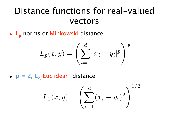#### Distance functions for real-valued vectors

• L<sub>p</sub> norms or Minkowski distance:

$$
L_p(x,y) = \left(\sum_{i=1}^d |x_i - y_i|^p\right)^{\frac{1}{p}}
$$

 $\mathbf{I}$ 

•  $p = 2$ ,  $L_2$  Euclidean distance:

$$
L_2(x, y) = \left(\sum_{i=1}^d (x_i - y_i)^2\right)^{1/2}
$$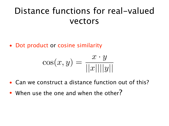#### Distance functions for real-valued vectors

• Dot product or cosine similarity

$$
\cos(x, y) = \frac{x \cdot y}{||x|| ||y||}
$$

- Can we construct a distance function out of this?
- When use the one and when the other?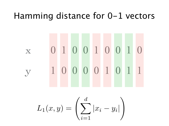#### Hamming distance for 0-1 vectors

# x 0 1 0 0 1 0 0 1 0 y 1 0 0 0 0 1 0 1 1

$$
L_1(x, y) = \left(\sum_{i=1}^d |x_i - y_i|\right)
$$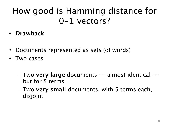#### How good is Hamming distance for 0-1 vectors?

- **• Drawback**
- Documents represented as sets (of words)
- Two cases
	- Two **very large** documents -- almost identical but for 5 terms
	- Two **very small** documents, with 5 terms each, disjoint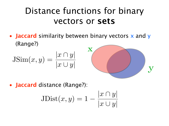#### Distance functions for binary vectors or **sets**

• **Jaccard** similarity between binary vectors x and y (Range?)

$$
J\operatorname{Sim}(x, y) = \frac{|x \cap y|}{|x \cup y|}
$$



• **Jaccard** distance (Range?):

$$
\text{JDist}(x, y) = 1 - \frac{|x \cap y|}{|x \cup y|}
$$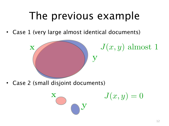## The previous example

Case 1 (very large almost identical documents)



 $J(x, y)$  almost 1

Case 2 (small disjoint documents)

$$
\sum_{i=1}^{N} \sum_{j=1}^{N} \frac{1}{j} \sum_{j=1}^{N} \frac{1}{j} \sum_{j=1}^{N} \frac{1}{j} \sum_{j=1}^{N} \frac{1}{j} \sum_{j=1}^{N} \frac{1}{j} \sum_{j=1}^{N} \frac{1}{j} \sum_{j=1}^{N} \frac{1}{j} \sum_{j=1}^{N} \frac{1}{j} \sum_{j=1}^{N} \frac{1}{j} \sum_{j=1}^{N} \frac{1}{j} \sum_{j=1}^{N} \frac{1}{j} \sum_{j=1}^{N} \frac{1}{j} \sum_{j=1}^{N} \frac{1}{j} \sum_{j=1}^{N} \frac{1}{j} \sum_{j=1}^{N} \frac{1}{j} \sum_{j=1}^{N} \frac{1}{j} \sum_{j=1}^{N} \frac{1}{j} \sum_{j=1}^{N} \frac{1}{j} \sum_{j=1}^{N} \frac{1}{j} \sum_{j=1}^{N} \frac{1}{j} \sum_{j=1}^{N} \frac{1}{j} \sum_{j=1}^{N} \frac{1}{j} \sum_{j=1}^{N} \frac{1}{j} \sum_{j=1}^{N} \frac{1}{j} \sum_{j=1}^{N} \frac{1}{j} \sum_{j=1}^{N} \frac{1}{j} \sum_{j=1}^{N} \frac{1}{j} \sum_{j=1}^{N} \frac{1}{j} \sum_{j=1}^{N} \frac{1}{j} \sum_{j=1}^{N} \frac{1}{j} \sum_{j=1}^{N} \frac{1}{j} \sum_{j=1}^{N} \frac{1}{j} \sum_{j=1}^{N} \frac{1}{j} \sum_{j=1}^{N} \frac{1}{j} \sum_{j=1}^{N} \frac{1}{j} \sum_{j=1}^{N} \frac{1}{j} \sum_{j=1}^{N} \frac{1}{j} \sum_{j=1}^{N} \frac{1}{j} \sum_{j=1}^{N} \frac{1}{j} \sum_{j=1}^{N} \frac{1}{j} \sum_{j=1}^{N} \frac{1}{j} \sum_{j=1}^{N} \frac{1}{j} \sum_{j=1}^{N} \frac{1}{j} \sum_{j=1}^{N} \frac{1}{j} \sum
$$

 $J(x,y)=0$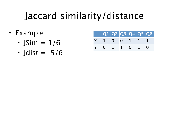## Jaccard similarity/distance

- Example:
	- JSim  $= 1/6$
	- Jdist =  $5/6$

|                             |  |  | Q1 Q2 Q3 Q4 Q5 Q6 |
|-----------------------------|--|--|-------------------|
| $X \t1 \t0 \t0 \t1 \t1 \t1$ |  |  |                   |
| Y 0 1 1 0 1 0               |  |  |                   |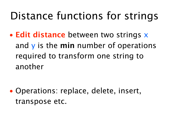## Distance functions for strings

• **Edit distance** between two strings x and y is the **min** number of operations required to transform one string to another

• Operations: replace, delete, insert, transpose etc.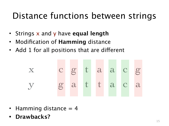#### Distance functions between strings

- Strings x and y have **equal length**
- Modification of **Hamming** distance
- Add 1 for all positions that are diferent



- Hamming distance  $= 4$
- **• Drawbacks?**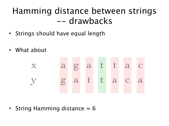#### Hamming distance between strings -- drawbacks

- Strings should have equal length
- What about



String Hamming distance  $= 6$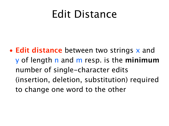## Edit Distance

• **Edit distance** between two strings x and y of length n and m resp. is the **minimum** number of single-character edits (insertion, deletion, substitution) required to change one word to the other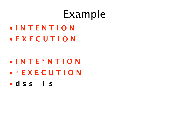## Example

• **I N T E N T I O N** • **E X E C U T I O N**

- **I N T E \* N T I O N**
- **\* E X E C U T I O N**
- **d s s i s**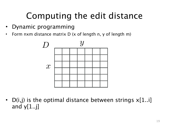## Computing the edit distance

- Dynamic programming
- Form nxm distance matrix D (x of length n, y of length m)



• D(i,j) is the optimal distance between strings  $x[1..i]$ and  $y[1..j]$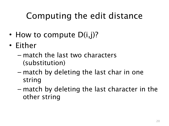## Computing the edit distance

- How to compute  $D(i,j)$ ?
- Either
	- match the last two characters (substitution)
	- match by deleting the last char in one string
	- match by deleting the last character in the other string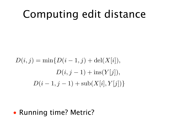## Computing edit distance

$$
D(i, j) = \min\{D(i - 1, j) + \text{del}(X[i]),
$$
  

$$
D(i, j - 1) + \text{ins}(Y[j]),
$$
  

$$
D(i - 1, j - 1) + \text{sub}(X[i], Y[j])\}
$$

• Running time? Metric?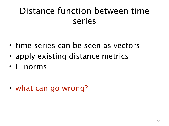#### Distance function between time series

- time series can be seen as vectors
- apply existing distance metrics
- L-norms

• what can go wrong?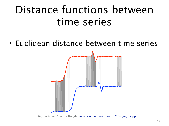## Distance functions between time series

• Euclidean distance between time series



figures from Eamonn Keogh [www.cs.ucr.edu/~eamonn/DTW\\_myths.ppt](http://www.cs.ucr.edu/~eamonn/DTW_myths.ppt)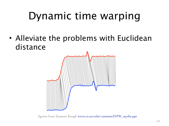• Alleviate the problems with Euclidean distance



figures from Eamonn Keogh [www.cs.ucr.edu/~eamonn/DTW\\_myths.ppt](http://www.cs.ucr.edu/~eamonn/DTW_myths.ppt)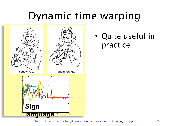

• Quite useful in practice

figures from Eamonn Keogh [www.cs.ucr.edu/~eamonn/DTW\\_myths.ppt](http://www.cs.ucr.edu/~eamonn/DTW_myths.ppt)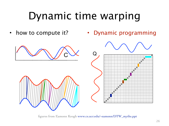• how to compute it?

• Dynamic programming



figures from Eamonn Keogh [www.cs.ucr.edu/~eamonn/DTW\\_myths.ppt](http://www.cs.ucr.edu/~eamonn/DTW_myths.ppt)